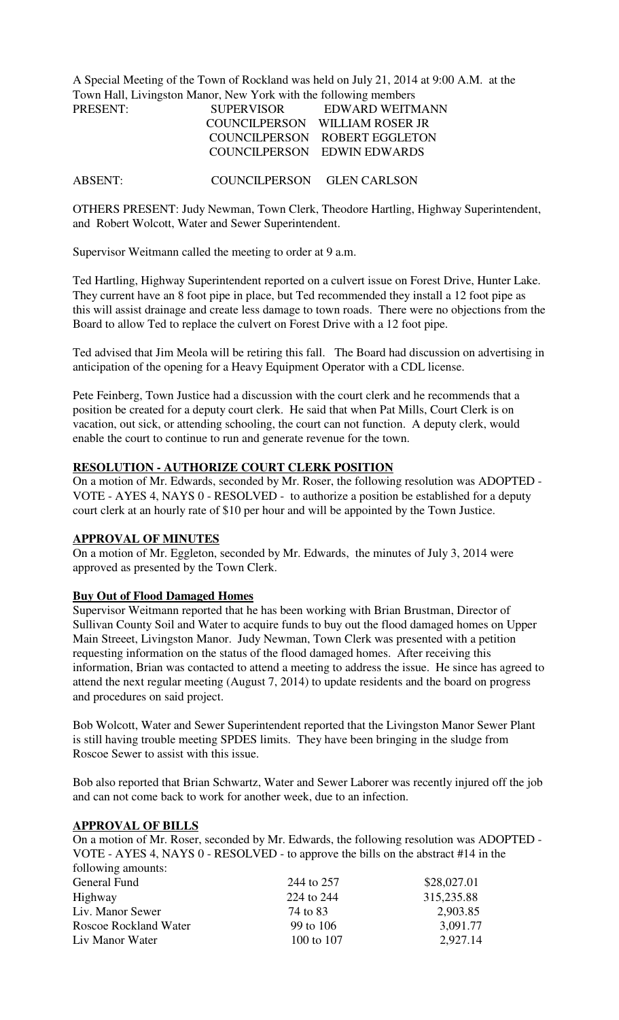A Special Meeting of the Town of Rockland was held on July 21, 2014 at 9:00 A.M. at the Town Hall, Livingston Manor, New York with the following members PRESENT:

| PRESENT: | <b>SUPERVISOR</b> | EDWARD WEITMANN                |
|----------|-------------------|--------------------------------|
|          |                   | COUNCILPERSON WILLIAM ROSER JR |
|          |                   | COUNCILPERSON ROBERT EGGLETON  |
|          |                   | COUNCILPERSON EDWIN EDWARDS    |
|          |                   |                                |

ABSENT: COUNCILPERSON GLEN CARLSON

OTHERS PRESENT: Judy Newman, Town Clerk, Theodore Hartling, Highway Superintendent, and Robert Wolcott, Water and Sewer Superintendent.

Supervisor Weitmann called the meeting to order at 9 a.m.

Ted Hartling, Highway Superintendent reported on a culvert issue on Forest Drive, Hunter Lake. They current have an 8 foot pipe in place, but Ted recommended they install a 12 foot pipe as this will assist drainage and create less damage to town roads. There were no objections from the Board to allow Ted to replace the culvert on Forest Drive with a 12 foot pipe.

Ted advised that Jim Meola will be retiring this fall. The Board had discussion on advertising in anticipation of the opening for a Heavy Equipment Operator with a CDL license.

Pete Feinberg, Town Justice had a discussion with the court clerk and he recommends that a position be created for a deputy court clerk. He said that when Pat Mills, Court Clerk is on vacation, out sick, or attending schooling, the court can not function. A deputy clerk, would enable the court to continue to run and generate revenue for the town.

# **RESOLUTION - AUTHORIZE COURT CLERK POSITION**

On a motion of Mr. Edwards, seconded by Mr. Roser, the following resolution was ADOPTED - VOTE - AYES 4, NAYS 0 - RESOLVED - to authorize a position be established for a deputy court clerk at an hourly rate of \$10 per hour and will be appointed by the Town Justice.

# **APPROVAL OF MINUTES**

On a motion of Mr. Eggleton, seconded by Mr. Edwards, the minutes of July 3, 2014 were approved as presented by the Town Clerk.

### **Buy Out of Flood Damaged Homes**

Supervisor Weitmann reported that he has been working with Brian Brustman, Director of Sullivan County Soil and Water to acquire funds to buy out the flood damaged homes on Upper Main Streeet, Livingston Manor. Judy Newman, Town Clerk was presented with a petition requesting information on the status of the flood damaged homes. After receiving this information, Brian was contacted to attend a meeting to address the issue. He since has agreed to attend the next regular meeting (August 7, 2014) to update residents and the board on progress and procedures on said project.

Bob Wolcott, Water and Sewer Superintendent reported that the Livingston Manor Sewer Plant is still having trouble meeting SPDES limits. They have been bringing in the sludge from Roscoe Sewer to assist with this issue.

Bob also reported that Brian Schwartz, Water and Sewer Laborer was recently injured off the job and can not come back to work for another week, due to an infection.

#### **APPROVAL OF BILLS**

On a motion of Mr. Roser, seconded by Mr. Edwards, the following resolution was ADOPTED - VOTE - AYES 4, NAYS 0 - RESOLVED - to approve the bills on the abstract #14 in the following amounts:

| General Fund          | 244 to 257 | \$28,027.01 |
|-----------------------|------------|-------------|
| Highway               | 224 to 244 | 315,235.88  |
| Liv. Manor Sewer      | 74 to 83   | 2,903.85    |
| Roscoe Rockland Water | 99 to 106  | 3,091.77    |
| Liv Manor Water       | 100 to 107 | 2,927.14    |
|                       |            |             |